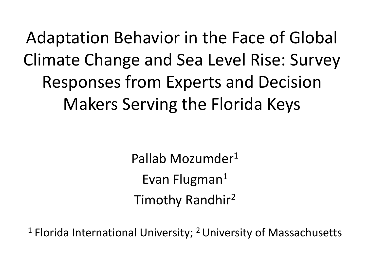Adaptation Behavior in the Face of Global Climate Change and Sea Level Rise: Survey Responses from Experts and Decision Makers Serving the Florida Keys

> Pallab Mozumder<sup>1</sup> Evan Flugman<sup>1</sup> Timothy Randhir<sup>2</sup>

 $1$  Florida International University;  $2$  University of Massachusetts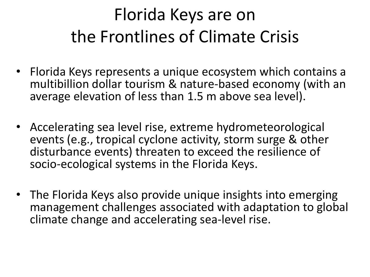### Florida Keys are on the Frontlines of Climate Crisis

- Florida Keys represents a unique ecosystem which contains a multibillion dollar tourism & nature-based economy (with an average elevation of less than 1.5 m above sea level).
- Accelerating sea level rise, extreme hydrometeorological events (e.g., tropical cyclone activity, storm surge & other disturbance events) threaten to exceed the resilience of socio-ecological systems in the Florida Keys.
- The Florida Keys also provide unique insights into emerging management challenges associated with adaptation to global climate change and accelerating sea-level rise.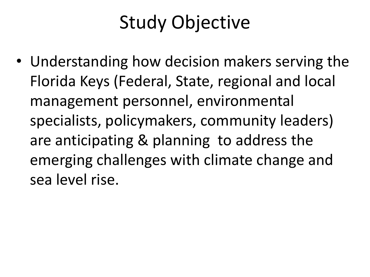### Study Objective

• Understanding how decision makers serving the Florida Keys (Federal, State, regional and local management personnel, environmental specialists, policymakers, community leaders) are anticipating & planning to address the emerging challenges with climate change and sea level rise.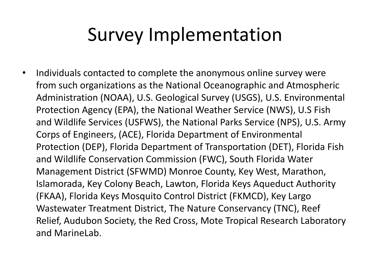### Survey Implementation

• Individuals contacted to complete the anonymous online survey were from such organizations as the National Oceanographic and Atmospheric Administration (NOAA), U.S. Geological Survey (USGS), U.S. Environmental Protection Agency (EPA), the National Weather Service (NWS), U.S Fish and Wildlife Services (USFWS), the National Parks Service (NPS), U.S. Army Corps of Engineers, (ACE), Florida Department of Environmental Protection (DEP), Florida Department of Transportation (DET), Florida Fish and Wildlife Conservation Commission (FWC), South Florida Water Management District (SFWMD) Monroe County, Key West, Marathon, Islamorada, Key Colony Beach, Lawton, Florida Keys Aqueduct Authority (FKAA), Florida Keys Mosquito Control District (FKMCD), Key Largo Wastewater Treatment District, The Nature Conservancy (TNC), Reef Relief, Audubon Society, the Red Cross, Mote Tropical Research Laboratory and MarineLab.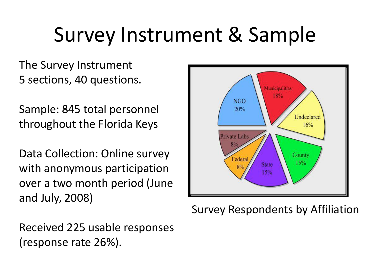# Survey Instrument & Sample

The Survey Instrument 5 sections, 40 questions.

Sample: 845 total personnel throughout the Florida Keys

Data Collection: Online survey with anonymous participation over a two month period (June and July, 2008)



Survey Respondents by Affiliation

Received 225 usable responses (response rate 26%).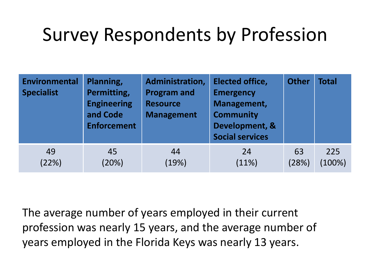### Survey Respondents by Profession

| <b>Environmental</b><br><b>Specialist</b> | Planning,<br>Permitting,<br><b>Engineering</b><br>and Code<br><b>Enforcement</b> | Administration,<br><b>Program and</b><br><b>Resource</b><br><b>Management</b> | <b>Elected office,</b><br><b>Emergency</b><br>Management,<br><b>Community</b><br>Development, &<br><b>Social services</b> | <b>Other</b> | <b>Total</b> |
|-------------------------------------------|----------------------------------------------------------------------------------|-------------------------------------------------------------------------------|---------------------------------------------------------------------------------------------------------------------------|--------------|--------------|
| 49                                        | 45                                                                               | 44                                                                            | 24                                                                                                                        | 63           | 225          |
| (22%)                                     | (20%)                                                                            | (19%)                                                                         | (11%)                                                                                                                     | (28%)        | $(100\%)$    |

The average number of years employed in their current profession was nearly 15 years, and the average number of years employed in the Florida Keys was nearly 13 years.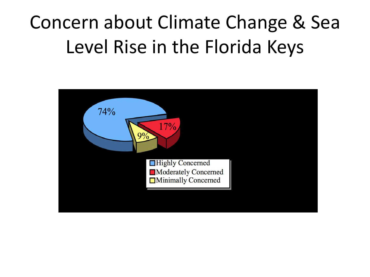### Concern about Climate Change & Sea Level Rise in the Florida Keys

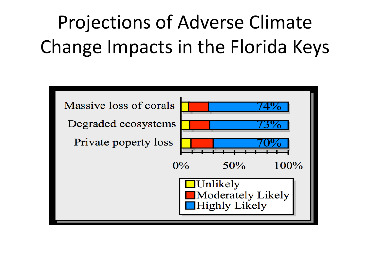## Projections of Adverse Climate Change Impacts in the Florida Keys

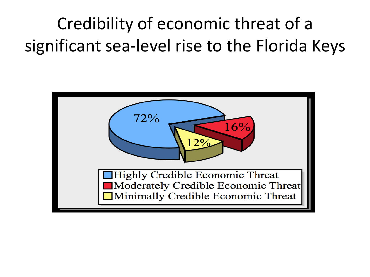Credibility of economic threat of a significant sea-level rise to the Florida Keys

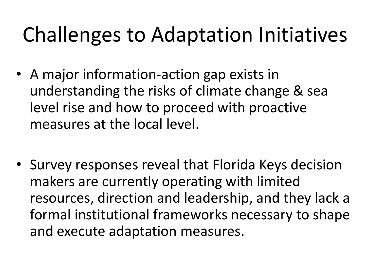# Challenges to Adaptation Initiatives

- A major information-action gap exists in understanding the risks of climate change & sea level rise and how to proceed with proactive measures at the local level.
- Survey responses reveal that Florida Keys decision makers are currently operating with limited resources, direction and leadership, and they lack a formal institutional frameworks necessary to shape and execute adaptation measures.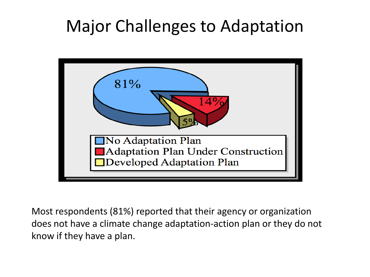#### Major Challenges to Adaptation



Most respondents (81%) reported that their agency or organization does not have a climate change adaptation-action plan or they do not know if they have a plan.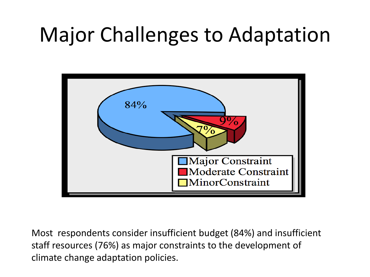## Major Challenges to Adaptation



Most respondents consider insufficient budget (84%) and insufficient staff resources (76%) as major constraints to the development of climate change adaptation policies.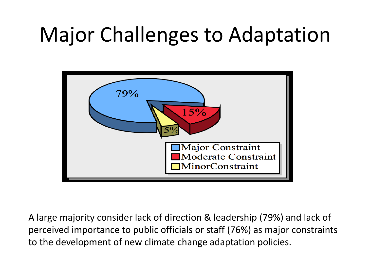# Major Challenges to Adaptation



A large majority consider lack of direction & leadership (79%) and lack of perceived importance to public officials or staff (76%) as major constraints to the development of new climate change adaptation policies.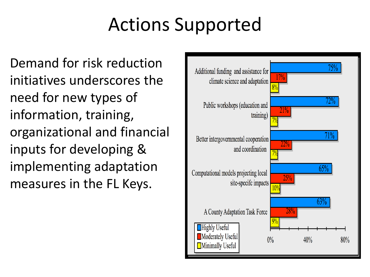### Actions Supported

Demand for risk reduction initiatives underscores the need for new types of information, training, organizational and financial inputs for developing & implementing adaptation measures in the FL Keys.

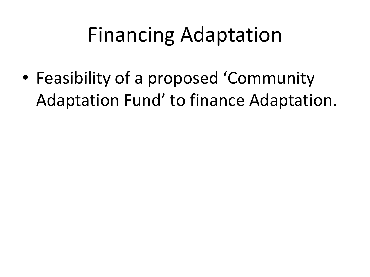## Financing Adaptation

• Feasibility of a proposed 'Community Adaptation Fund' to finance Adaptation.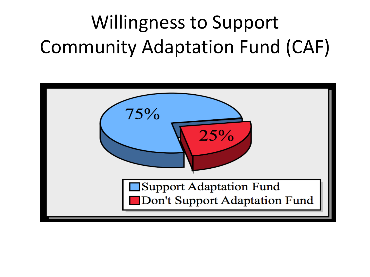# Willingness to Support Community Adaptation Fund (CAF)

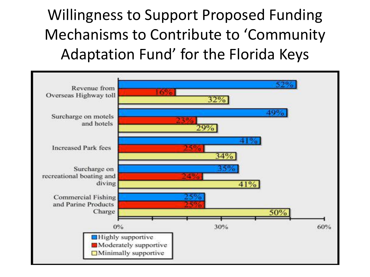Willingness to Support Proposed Funding Mechanisms to Contribute to 'Community Adaptation Fund' for the Florida Keys